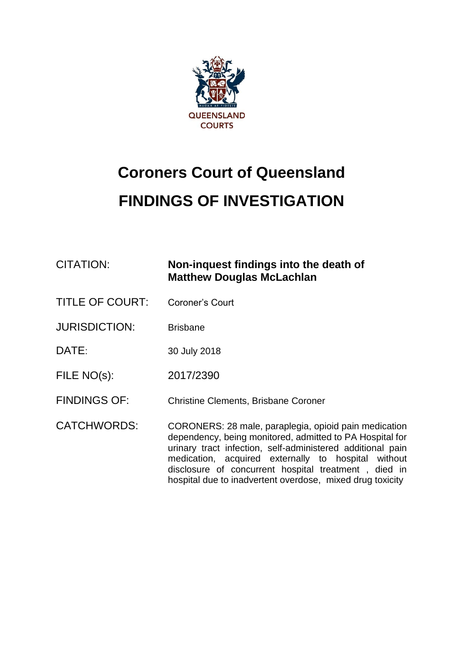

# **Coroners Court of Queensland FINDINGS OF INVESTIGATION**

| <b>CITATION:</b>       | Non-inquest findings into the death of<br><b>Matthew Douglas McLachlan</b>                                                                                                                                                                                                                                                                                  |
|------------------------|-------------------------------------------------------------------------------------------------------------------------------------------------------------------------------------------------------------------------------------------------------------------------------------------------------------------------------------------------------------|
| <b>TITLE OF COURT:</b> | Coroner's Court                                                                                                                                                                                                                                                                                                                                             |
| <b>JURISDICTION:</b>   | <b>Brisbane</b>                                                                                                                                                                                                                                                                                                                                             |
| DATE:                  | 30 July 2018                                                                                                                                                                                                                                                                                                                                                |
| FILE NO(s):            | 2017/2390                                                                                                                                                                                                                                                                                                                                                   |
| <b>FINDINGS OF:</b>    | <b>Christine Clements, Brisbane Coroner</b>                                                                                                                                                                                                                                                                                                                 |
| <b>CATCHWORDS:</b>     | CORONERS: 28 male, paraplegia, opioid pain medication<br>dependency, being monitored, admitted to PA Hospital for<br>urinary tract infection, self-administered additional pain<br>medication, acquired externally to hospital without<br>disclosure of concurrent hospital treatment, died in<br>hospital due to inadvertent overdose, mixed drug toxicity |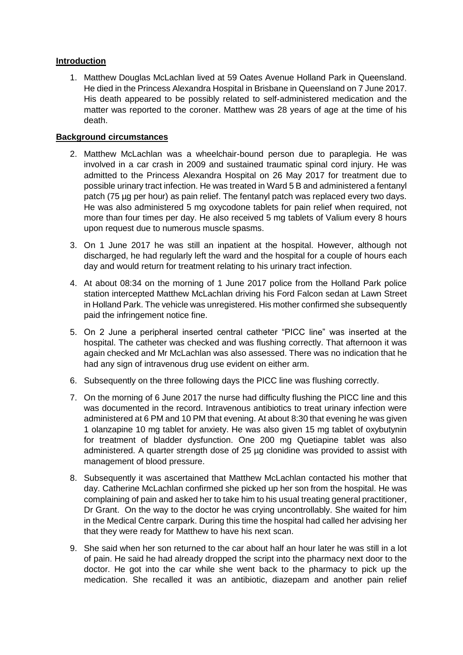## **Introduction**

1. Matthew Douglas McLachlan lived at 59 Oates Avenue Holland Park in Queensland. He died in the Princess Alexandra Hospital in Brisbane in Queensland on 7 June 2017. His death appeared to be possibly related to self-administered medication and the matter was reported to the coroner. Matthew was 28 years of age at the time of his death.

## **Background circumstances**

- 2. Matthew McLachlan was a wheelchair-bound person due to paraplegia. He was involved in a car crash in 2009 and sustained traumatic spinal cord injury. He was admitted to the Princess Alexandra Hospital on 26 May 2017 for treatment due to possible urinary tract infection. He was treated in Ward 5 B and administered a fentanyl patch (75 µg per hour) as pain relief. The fentanyl patch was replaced every two days. He was also administered 5 mg oxycodone tablets for pain relief when required, not more than four times per day. He also received 5 mg tablets of Valium every 8 hours upon request due to numerous muscle spasms.
- 3. On 1 June 2017 he was still an inpatient at the hospital. However, although not discharged, he had regularly left the ward and the hospital for a couple of hours each day and would return for treatment relating to his urinary tract infection.
- 4. At about 08:34 on the morning of 1 June 2017 police from the Holland Park police station intercepted Matthew McLachlan driving his Ford Falcon sedan at Lawn Street in Holland Park. The vehicle was unregistered. His mother confirmed she subsequently paid the infringement notice fine.
- 5. On 2 June a peripheral inserted central catheter "PICC line" was inserted at the hospital. The catheter was checked and was flushing correctly. That afternoon it was again checked and Mr McLachlan was also assessed. There was no indication that he had any sign of intravenous drug use evident on either arm.
- 6. Subsequently on the three following days the PICC line was flushing correctly.
- 7. On the morning of 6 June 2017 the nurse had difficulty flushing the PICC line and this was documented in the record. Intravenous antibiotics to treat urinary infection were administered at 6 PM and 10 PM that evening. At about 8:30 that evening he was given 1 olanzapine 10 mg tablet for anxiety. He was also given 15 mg tablet of oxybutynin for treatment of bladder dysfunction. One 200 mg Quetiapine tablet was also administered. A quarter strength dose of 25 µg clonidine was provided to assist with management of blood pressure.
- 8. Subsequently it was ascertained that Matthew McLachlan contacted his mother that day. Catherine McLachlan confirmed she picked up her son from the hospital. He was complaining of pain and asked her to take him to his usual treating general practitioner, Dr Grant. On the way to the doctor he was crying uncontrollably. She waited for him in the Medical Centre carpark. During this time the hospital had called her advising her that they were ready for Matthew to have his next scan.
- 9. She said when her son returned to the car about half an hour later he was still in a lot of pain. He said he had already dropped the script into the pharmacy next door to the doctor. He got into the car while she went back to the pharmacy to pick up the medication. She recalled it was an antibiotic, diazepam and another pain relief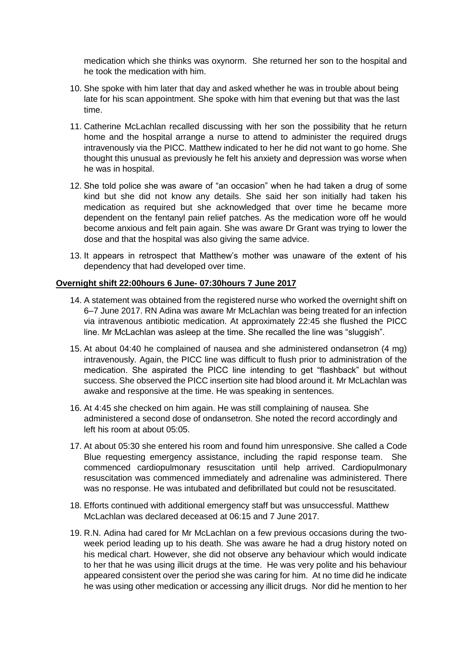medication which she thinks was oxynorm. She returned her son to the hospital and he took the medication with him.

- 10. She spoke with him later that day and asked whether he was in trouble about being late for his scan appointment. She spoke with him that evening but that was the last time.
- 11. Catherine McLachlan recalled discussing with her son the possibility that he return home and the hospital arrange a nurse to attend to administer the required drugs intravenously via the PICC. Matthew indicated to her he did not want to go home. She thought this unusual as previously he felt his anxiety and depression was worse when he was in hospital.
- 12. She told police she was aware of "an occasion" when he had taken a drug of some kind but she did not know any details. She said her son initially had taken his medication as required but she acknowledged that over time he became more dependent on the fentanyl pain relief patches. As the medication wore off he would become anxious and felt pain again. She was aware Dr Grant was trying to lower the dose and that the hospital was also giving the same advice.
- 13. It appears in retrospect that Matthew's mother was unaware of the extent of his dependency that had developed over time.

#### **Overnight shift 22:00hours 6 June- 07:30hours 7 June 2017**

- 14. A statement was obtained from the registered nurse who worked the overnight shift on 6–7 June 2017. RN Adina was aware Mr McLachlan was being treated for an infection via intravenous antibiotic medication. At approximately 22:45 she flushed the PICC line. Mr McLachlan was asleep at the time. She recalled the line was "sluggish".
- 15. At about 04:40 he complained of nausea and she administered ondansetron (4 mg) intravenously. Again, the PICC line was difficult to flush prior to administration of the medication. She aspirated the PICC line intending to get "flashback" but without success. She observed the PICC insertion site had blood around it. Mr McLachlan was awake and responsive at the time. He was speaking in sentences.
- 16. At 4:45 she checked on him again. He was still complaining of nausea. She administered a second dose of ondansetron. She noted the record accordingly and left his room at about 05:05.
- 17. At about 05:30 she entered his room and found him unresponsive. She called a Code Blue requesting emergency assistance, including the rapid response team. She commenced cardiopulmonary resuscitation until help arrived. Cardiopulmonary resuscitation was commenced immediately and adrenaline was administered. There was no response. He was intubated and defibrillated but could not be resuscitated.
- 18. Efforts continued with additional emergency staff but was unsuccessful. Matthew McLachlan was declared deceased at 06:15 and 7 June 2017.
- 19. R.N. Adina had cared for Mr McLachlan on a few previous occasions during the twoweek period leading up to his death. She was aware he had a drug history noted on his medical chart. However, she did not observe any behaviour which would indicate to her that he was using illicit drugs at the time. He was very polite and his behaviour appeared consistent over the period she was caring for him. At no time did he indicate he was using other medication or accessing any illicit drugs. Nor did he mention to her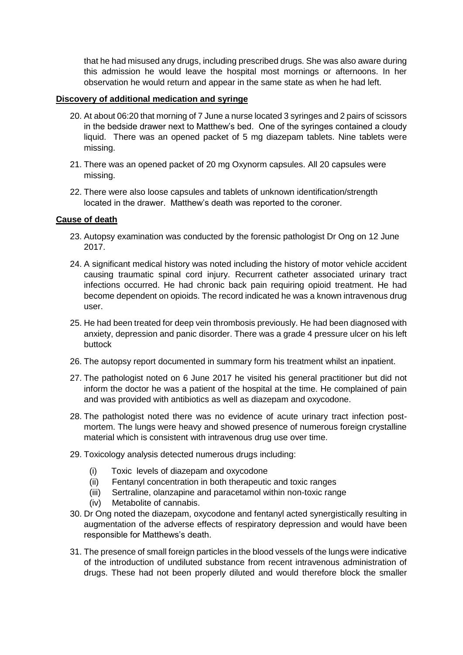that he had misused any drugs, including prescribed drugs. She was also aware during this admission he would leave the hospital most mornings or afternoons. In her observation he would return and appear in the same state as when he had left.

### **Discovery of additional medication and syringe**

- 20. At about 06:20 that morning of 7 June a nurse located 3 syringes and 2 pairs of scissors in the bedside drawer next to Matthew's bed. One of the syringes contained a cloudy liquid. There was an opened packet of 5 mg diazepam tablets. Nine tablets were missing.
- 21. There was an opened packet of 20 mg Oxynorm capsules. All 20 capsules were missing.
- 22. There were also loose capsules and tablets of unknown identification/strength located in the drawer. Matthew's death was reported to the coroner.

#### **Cause of death**

- 23. Autopsy examination was conducted by the forensic pathologist Dr Ong on 12 June 2017.
- 24. A significant medical history was noted including the history of motor vehicle accident causing traumatic spinal cord injury. Recurrent catheter associated urinary tract infections occurred. He had chronic back pain requiring opioid treatment. He had become dependent on opioids. The record indicated he was a known intravenous drug user.
- 25. He had been treated for deep vein thrombosis previously. He had been diagnosed with anxiety, depression and panic disorder. There was a grade 4 pressure ulcer on his left buttock
- 26. The autopsy report documented in summary form his treatment whilst an inpatient.
- 27. The pathologist noted on 6 June 2017 he visited his general practitioner but did not inform the doctor he was a patient of the hospital at the time. He complained of pain and was provided with antibiotics as well as diazepam and oxycodone.
- 28. The pathologist noted there was no evidence of acute urinary tract infection postmortem. The lungs were heavy and showed presence of numerous foreign crystalline material which is consistent with intravenous drug use over time.
- 29. Toxicology analysis detected numerous drugs including:
	- (i) Toxic levels of diazepam and oxycodone
	- (ii) Fentanyl concentration in both therapeutic and toxic ranges
	- (iii) Sertraline, olanzapine and paracetamol within non-toxic range
	- (iv) Metabolite of cannabis.
- 30. Dr Ong noted the diazepam, oxycodone and fentanyl acted synergistically resulting in augmentation of the adverse effects of respiratory depression and would have been responsible for Matthews's death.
- 31. The presence of small foreign particles in the blood vessels of the lungs were indicative of the introduction of undiluted substance from recent intravenous administration of drugs. These had not been properly diluted and would therefore block the smaller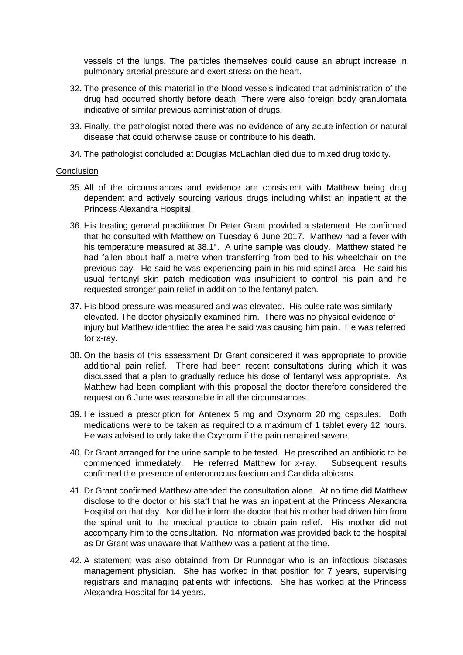vessels of the lungs. The particles themselves could cause an abrupt increase in pulmonary arterial pressure and exert stress on the heart.

- 32. The presence of this material in the blood vessels indicated that administration of the drug had occurred shortly before death. There were also foreign body granulomata indicative of similar previous administration of drugs.
- 33. Finally, the pathologist noted there was no evidence of any acute infection or natural disease that could otherwise cause or contribute to his death.
- 34. The pathologist concluded at Douglas McLachlan died due to mixed drug toxicity.

#### **Conclusion**

- 35. All of the circumstances and evidence are consistent with Matthew being drug dependent and actively sourcing various drugs including whilst an inpatient at the Princess Alexandra Hospital.
- 36. His treating general practitioner Dr Peter Grant provided a statement. He confirmed that he consulted with Matthew on Tuesday 6 June 2017. Matthew had a fever with his temperature measured at 38.1°. A urine sample was cloudy. Matthew stated he had fallen about half a metre when transferring from bed to his wheelchair on the previous day. He said he was experiencing pain in his mid-spinal area. He said his usual fentanyl skin patch medication was insufficient to control his pain and he requested stronger pain relief in addition to the fentanyl patch.
- 37. His blood pressure was measured and was elevated. His pulse rate was similarly elevated. The doctor physically examined him. There was no physical evidence of injury but Matthew identified the area he said was causing him pain. He was referred for x-ray.
- 38. On the basis of this assessment Dr Grant considered it was appropriate to provide additional pain relief. There had been recent consultations during which it was discussed that a plan to gradually reduce his dose of fentanyl was appropriate. As Matthew had been compliant with this proposal the doctor therefore considered the request on 6 June was reasonable in all the circumstances.
- 39. He issued a prescription for Antenex 5 mg and Oxynorm 20 mg capsules. Both medications were to be taken as required to a maximum of 1 tablet every 12 hours. He was advised to only take the Oxynorm if the pain remained severe.
- 40. Dr Grant arranged for the urine sample to be tested. He prescribed an antibiotic to be commenced immediately. He referred Matthew for x-ray. Subsequent results confirmed the presence of enterococcus faecium and Candida albicans.
- 41. Dr Grant confirmed Matthew attended the consultation alone. At no time did Matthew disclose to the doctor or his staff that he was an inpatient at the Princess Alexandra Hospital on that day. Nor did he inform the doctor that his mother had driven him from the spinal unit to the medical practice to obtain pain relief. His mother did not accompany him to the consultation. No information was provided back to the hospital as Dr Grant was unaware that Matthew was a patient at the time.
- 42. A statement was also obtained from Dr Runnegar who is an infectious diseases management physician. She has worked in that position for 7 years, supervising registrars and managing patients with infections. She has worked at the Princess Alexandra Hospital for 14 years.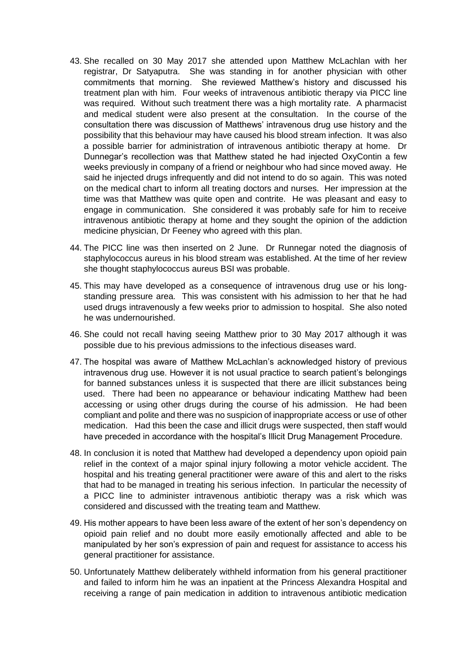- 43. She recalled on 30 May 2017 she attended upon Matthew McLachlan with her registrar, Dr Satyaputra. She was standing in for another physician with other commitments that morning. She reviewed Matthew's history and discussed his treatment plan with him. Four weeks of intravenous antibiotic therapy via PICC line was required. Without such treatment there was a high mortality rate. A pharmacist and medical student were also present at the consultation. In the course of the consultation there was discussion of Matthews' intravenous drug use history and the possibility that this behaviour may have caused his blood stream infection. It was also a possible barrier for administration of intravenous antibiotic therapy at home. Dr Dunnegar's recollection was that Matthew stated he had injected OxyContin a few weeks previously in company of a friend or neighbour who had since moved away. He said he injected drugs infrequently and did not intend to do so again. This was noted on the medical chart to inform all treating doctors and nurses. Her impression at the time was that Matthew was quite open and contrite. He was pleasant and easy to engage in communication. She considered it was probably safe for him to receive intravenous antibiotic therapy at home and they sought the opinion of the addiction medicine physician, Dr Feeney who agreed with this plan.
- 44. The PICC line was then inserted on 2 June. Dr Runnegar noted the diagnosis of staphylococcus aureus in his blood stream was established. At the time of her review she thought staphylococcus aureus BSI was probable.
- 45. This may have developed as a consequence of intravenous drug use or his longstanding pressure area. This was consistent with his admission to her that he had used drugs intravenously a few weeks prior to admission to hospital. She also noted he was undernourished.
- 46. She could not recall having seeing Matthew prior to 30 May 2017 although it was possible due to his previous admissions to the infectious diseases ward.
- 47. The hospital was aware of Matthew McLachlan's acknowledged history of previous intravenous drug use. However it is not usual practice to search patient's belongings for banned substances unless it is suspected that there are illicit substances being used. There had been no appearance or behaviour indicating Matthew had been accessing or using other drugs during the course of his admission. He had been compliant and polite and there was no suspicion of inappropriate access or use of other medication. Had this been the case and illicit drugs were suspected, then staff would have preceded in accordance with the hospital's Illicit Drug Management Procedure.
- 48. In conclusion it is noted that Matthew had developed a dependency upon opioid pain relief in the context of a major spinal injury following a motor vehicle accident. The hospital and his treating general practitioner were aware of this and alert to the risks that had to be managed in treating his serious infection. In particular the necessity of a PICC line to administer intravenous antibiotic therapy was a risk which was considered and discussed with the treating team and Matthew.
- 49. His mother appears to have been less aware of the extent of her son's dependency on opioid pain relief and no doubt more easily emotionally affected and able to be manipulated by her son's expression of pain and request for assistance to access his general practitioner for assistance.
- 50. Unfortunately Matthew deliberately withheld information from his general practitioner and failed to inform him he was an inpatient at the Princess Alexandra Hospital and receiving a range of pain medication in addition to intravenous antibiotic medication